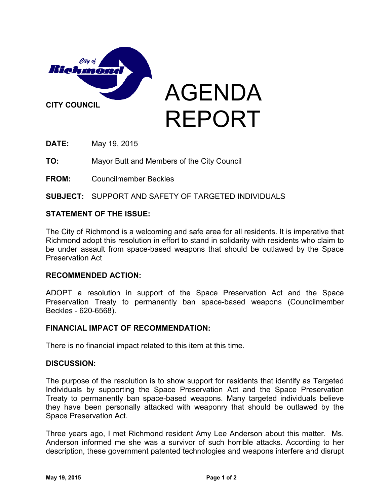

**DATE:** May 19, 2015

**TO:** Mayor Butt and Members of the City Council

**FROM:** Councilmember Beckles

**SUBJECT:** SUPPORT AND SAFETY OF TARGETED INDIVIDUALS

## **STATEMENT OF THE ISSUE:**

The City of Richmond is a welcoming and safe area for all residents. It is imperative that Richmond adopt this resolution in effort to stand in solidarity with residents who claim to be under assault from space-based weapons that should be outlawed by the Space Preservation Act

### **RECOMMENDED ACTION:**

ADOPT a resolution in support of the Space Preservation Act and the Space Preservation Treaty to permanently ban space-based weapons (Councilmember Beckles - 620-6568).

### **FINANCIAL IMPACT OF RECOMMENDATION:**

There is no financial impact related to this item at this time.

### **DISCUSSION:**

The purpose of the resolution is to show support for residents that identify as Targeted Individuals by supporting the Space Preservation Act and the Space Preservation Treaty to permanently ban space-based weapons. Many targeted individuals believe they have been personally attacked with weaponry that should be outlawed by the Space Preservation Act.

Three years ago, I met Richmond resident Amy Lee Anderson about this matter. Ms. Anderson informed me she was a survivor of such horrible attacks. According to her description, these government patented technologies and weapons interfere and disrupt